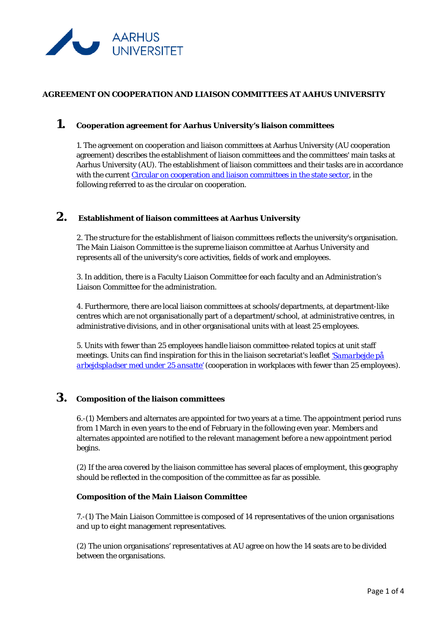

### **AGREEMENT ON COOPERATION AND LIAISON COMMITTEES AT AAHUS UNIVERSITY**

## **1. Cooperation agreement for Aarhus University's liaison committees**

1. The agreement on cooperation and liaison committees at Aarhus University (AU cooperation agreement) describes the establishment of liaison committees and the committees' main tasks at Aarhus University (AU). The establishment of liaison committees and their tasks are in accordance with the current [Circular on cooperation and liaison committees in the state sector,](https://www.retsinformation.dk/Forms/R0710.aspx?id=158211) in the following referred to as the circular on cooperation.

## **2. Establishment of liaison committees at Aarhus University**

2. The structure for the establishment of liaison committees reflects the university's organisation. The Main Liaison Committee is the supreme liaison committee at Aarhus University and represents all of the university's core activities, fields of work and employees.

3. In addition, there is a Faculty Liaison Committee for each faculty and an Administration's Liaison Committee for the administration.

4. Furthermore, there are local liaison committees at schools/departments, at department-like centres which are not organisationally part of a department/school, at administrative centres, in administrative divisions, and in other organisational units with at least 25 employees.

5. Units with fewer than 25 employees handle liaison committee-related topics at unit staff meetings. Units can find inspiration for this in the liaison secretariat's leaflet *['Samarbejde på](https://www.samarbejdssekretariatet.dk/fileadmin/user_upload/Editor/documents/Rammer_for_SU/Publikationer/Samarbejde25.pdf)  [arbejdspladser med under 25 ansatte'](https://www.samarbejdssekretariatet.dk/fileadmin/user_upload/Editor/documents/Rammer_for_SU/Publikationer/Samarbejde25.pdf)* (cooperation in workplaces with fewer than 25 employees).

# **3. Composition of the liaison committees**

6.-(1) Members and alternates are appointed for two years at a time. The appointment period runs from 1 March in even years to the end of February in the following even year. Members and alternates appointed are notified to the relevant management before a new appointment period begins.

(2) If the area covered by the liaison committee has several places of employment, this geography should be reflected in the composition of the committee as far as possible.

#### **Composition of the Main Liaison Committee**

7.-(1) The Main Liaison Committee is composed of 14 representatives of the union organisations and up to eight management representatives.

(2) The union organisations' representatives at AU agree on how the 14 seats are to be divided between the organisations.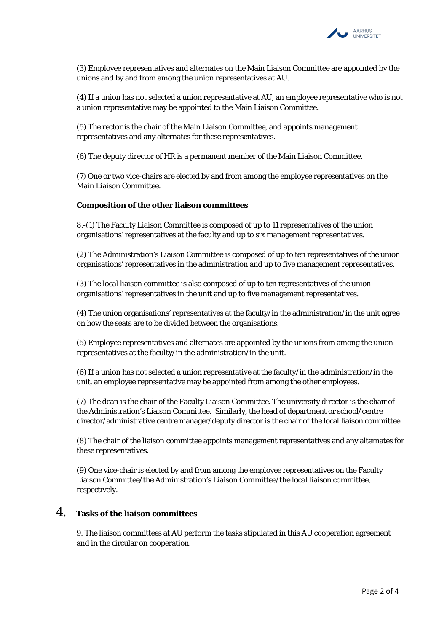

(3) Employee representatives and alternates on the Main Liaison Committee are appointed by the unions and by and from among the union representatives at AU.

(4) If a union has not selected a union representative at AU, an employee representative who is not a union representative may be appointed to the Main Liaison Committee.

(5) The rector is the chair of the Main Liaison Committee, and appoints management representatives and any alternates for these representatives.

(6) The deputy director of HR is a permanent member of the Main Liaison Committee.

(7) One or two vice-chairs are elected by and from among the employee representatives on the Main Liaison Committee.

#### **Composition of the other liaison committees**

8.-(1) The Faculty Liaison Committee is composed of up to 11 representatives of the union organisations' representatives at the faculty and up to six management representatives.

(2) The Administration's Liaison Committee is composed of up to ten representatives of the union organisations' representatives in the administration and up to five management representatives.

(3) The local liaison committee is also composed of up to ten representatives of the union organisations' representatives in the unit and up to five management representatives.

(4) The union organisations' representatives at the faculty/in the administration/in the unit agree on how the seats are to be divided between the organisations.

(5) Employee representatives and alternates are appointed by the unions from among the union representatives at the faculty/in the administration/in the unit.

(6) If a union has not selected a union representative at the faculty/in the administration/in the unit, an employee representative may be appointed from among the other employees.

(7) The dean is the chair of the Faculty Liaison Committee. The university director is the chair of the Administration's Liaison Committee. Similarly, the head of department or school/centre director/administrative centre manager/deputy director is the chair of the local liaison committee.

(8) The chair of the liaison committee appoints management representatives and any alternates for these representatives.

(9) One vice-chair is elected by and from among the employee representatives on the Faculty Liaison Committee/the Administration's Liaison Committee/the local liaison committee, respectively.

## 4. **Tasks of the liaison committees**

9. The liaison committees at AU perform the tasks stipulated in this AU cooperation agreement and in the circular on cooperation.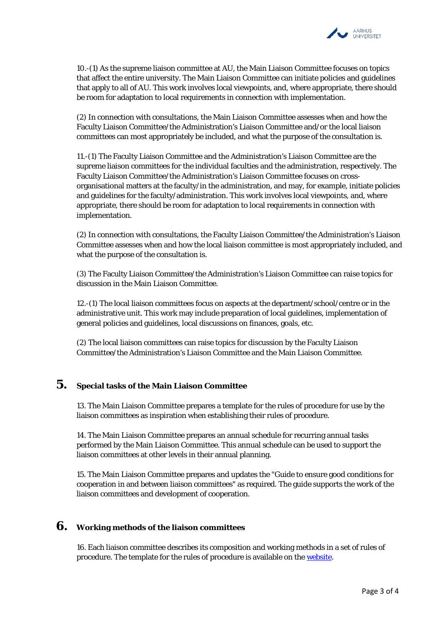

10.-(1) As the supreme liaison committee at AU, the Main Liaison Committee focuses on topics that affect the entire university. The Main Liaison Committee can initiate policies and guidelines that apply to all of AU. This work involves local viewpoints, and, where appropriate, there should be room for adaptation to local requirements in connection with implementation.

(2) In connection with consultations, the Main Liaison Committee assesses when and how the Faculty Liaison Committee/the Administration's Liaison Committee and/or the local liaison committees can most appropriately be included, and what the purpose of the consultation is.

11.-(1) The Faculty Liaison Committee and the Administration's Liaison Committee are the supreme liaison committees for the individual faculties and the administration, respectively. The Faculty Liaison Committee/the Administration's Liaison Committee focuses on crossorganisational matters at the faculty/in the administration, and may, for example, initiate policies and guidelines for the faculty/administration. This work involves local viewpoints, and, where appropriate, there should be room for adaptation to local requirements in connection with implementation.

(2) In connection with consultations, the Faculty Liaison Committee/the Administration's Liaison Committee assesses when and how the local liaison committee is most appropriately included, and what the purpose of the consultation is.

(3) The Faculty Liaison Committee/the Administration's Liaison Committee can raise topics for discussion in the Main Liaison Committee.

12.-(1) The local liaison committees focus on aspects at the department/school/centre or in the administrative unit. This work may include preparation of local guidelines, implementation of general policies and guidelines, local discussions on finances, goals, etc.

(2) The local liaison committees can raise topics for discussion by the Faculty Liaison Committee/the Administration's Liaison Committee and the Main Liaison Committee.

## **5. Special tasks of the Main Liaison Committee**

13. The Main Liaison Committee prepares a template for the rules of procedure for use by the liaison committees as inspiration when establishing their rules of procedure.

14. The Main Liaison Committee prepares an annual schedule for recurring annual tasks performed by the Main Liaison Committee. This annual schedule can be used to support the liaison committees at other levels in their annual planning.

15. The Main Liaison Committee prepares and updates the "Guide to ensure good conditions for cooperation in and between liaison committees" as required. The guide supports the work of the liaison committees and development of cooperation.

## **6. Working methods of the liaison committees**

16. Each liaison committee describes its composition and working methods in a set of rules of procedure. The template for the rules of procedure is available on the [website.](https://medarbejdere.au.dk/administration/hr/samarbejdsudvalg/)